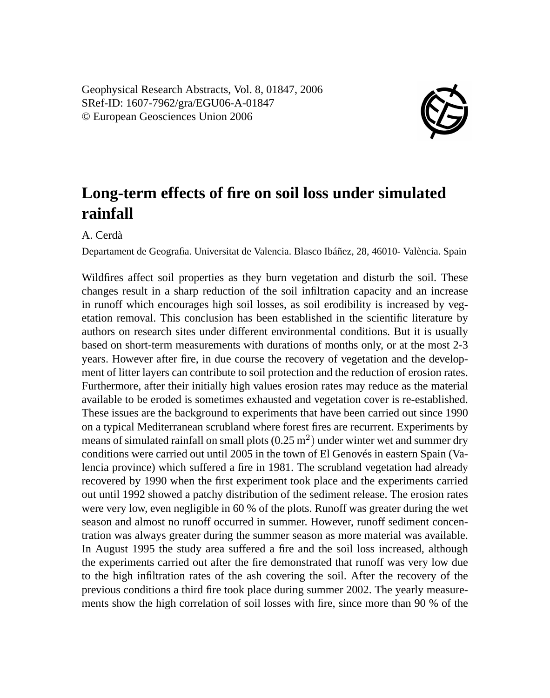Geophysical Research Abstracts, Vol. 8, 01847, 2006 SRef-ID: 1607-7962/gra/EGU06-A-01847 © European Geosciences Union 2006



## **Long-term effects of fire on soil loss under simulated rainfall**

A. Cerdà

Departament de Geografia. Universitat de Valencia. Blasco Ibáñez, 28, 46010- València. Spain

Wildfires affect soil properties as they burn vegetation and disturb the soil. These changes result in a sharp reduction of the soil infiltration capacity and an increase in runoff which encourages high soil losses, as soil erodibility is increased by vegetation removal. This conclusion has been established in the scientific literature by authors on research sites under different environmental conditions. But it is usually based on short-term measurements with durations of months only, or at the most 2-3 years. However after fire, in due course the recovery of vegetation and the development of litter layers can contribute to soil protection and the reduction of erosion rates. Furthermore, after their initially high values erosion rates may reduce as the material available to be eroded is sometimes exhausted and vegetation cover is re-established. These issues are the background to experiments that have been carried out since 1990 on a typical Mediterranean scrubland where forest fires are recurrent. Experiments by means of simulated rainfall on small plots  $(0.25 \text{ m}^2)$  under winter wet and summer dry conditions were carried out until 2005 in the town of El Genovés in eastern Spain (Valencia province) which suffered a fire in 1981. The scrubland vegetation had already recovered by 1990 when the first experiment took place and the experiments carried out until 1992 showed a patchy distribution of the sediment release. The erosion rates were very low, even negligible in 60 % of the plots. Runoff was greater during the wet season and almost no runoff occurred in summer. However, runoff sediment concentration was always greater during the summer season as more material was available. In August 1995 the study area suffered a fire and the soil loss increased, although the experiments carried out after the fire demonstrated that runoff was very low due to the high infiltration rates of the ash covering the soil. After the recovery of the previous conditions a third fire took place during summer 2002. The yearly measurements show the high correlation of soil losses with fire, since more than 90 % of the